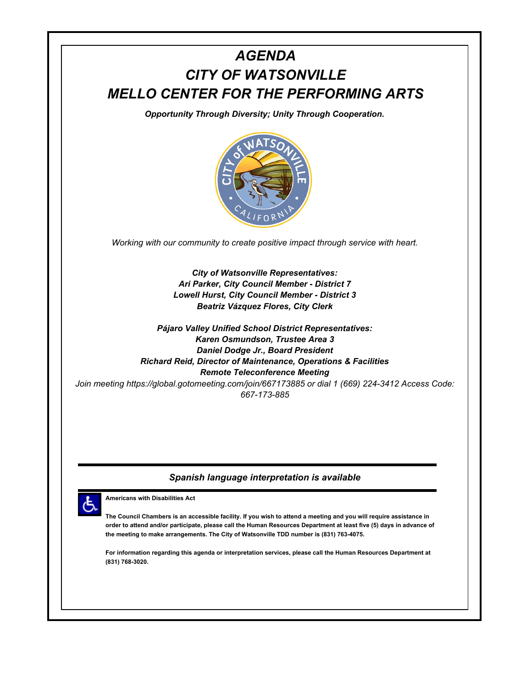

**The Council Chambers is an accessible facility. If you wish to attend a meeting and you will require assistance in order to attend and/or participate, please call the Human Resources Department at least five (5) days in advance of the meeting to make arrangements. The City of Watsonville TDD number is (831) 763-4075.**

**For information regarding this agenda or interpretation services, please call the Human Resources Department at (831) 768-3020.**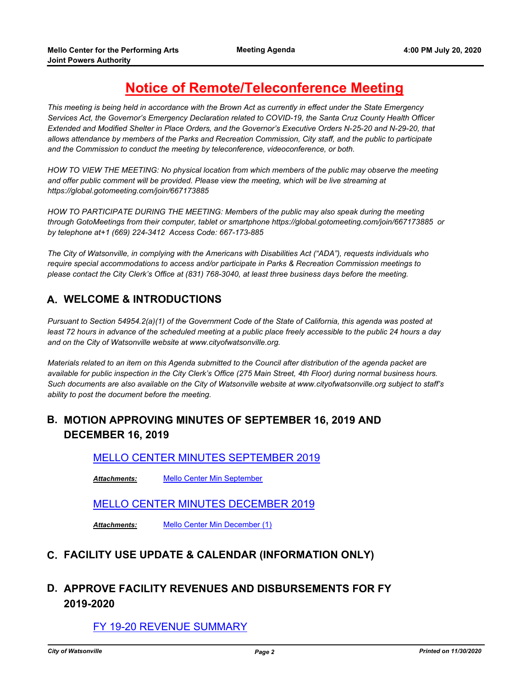# **Notice of Remote/Teleconference Meeting**

*This meeting is being held in accordance with the Brown Act as currently in effect under the State Emergency Services Act, the Governor's Emergency Declaration related to COVID-19, the Santa Cruz County Health Officer Extended and Modified Shelter in Place Orders, and the Governor's Executive Orders N-25-20 and N-29-20, that allows attendance by members of the Parks and Recreation Commission, City staff, and the public to participate and the Commission to conduct the meeting by teleconference, videoconference, or both.*

*HOW TO VIEW THE MEETING: No physical location from which members of the public may observe the meeting and offer public comment will be provided. Please view the meeting, which will be live streaming at https://global.gotomeeting.com/join/667173885* 

*HOW TO PARTICIPATE DURING THE MEETING: Members of the public may also speak during the meeting through GotoMeetings from their computer, tablet or smartphone https://global.gotomeeting.com/join/667173885 or by telephone at+1 (669) 224-3412 Access Code: 667-173-885*

*The City of Watsonville, in complying with the Americans with Disabilities Act ("ADA"), requests individuals who require special accommodations to access and/or participate in Parks & Recreation Commission meetings to please contact the City Clerk's Office at (831) 768-3040, at least three business days before the meeting.*

# **A. WELCOME & INTRODUCTIONS**

*Pursuant to Section 54954.2(a)(1) of the Government Code of the State of California, this agenda was posted at* least 72 hours in advance of the scheduled meeting at a public place freely accessible to the public 24 hours a day *and on the City of Watsonville website at www.cityofwatsonville.org.*

*Materials related to an item on this Agenda submitted to the Council after distribution of the agenda packet are available for public inspection in the City Clerk's Office (275 Main Street, 4th Floor) during normal business hours. Such documents are also available on the City of Watsonville website at www.cityofwatsonville.org subject to staff's ability to post the document before the meeting.*

# **B. MOTION APPROVING MINUTES OF SEPTEMBER 16, 2019 AND DECEMBER 16, 2019**

[MELLO CENTER MINUTES SEPTEMBER 2019](http://watsonville.legistar.com/gateway.aspx?m=l&id=/matter.aspx?key=3147)

*Attachments:* [Mello Center Min September](http://watsonville.legistar.com/gateway.aspx?M=F&ID=121808c0-dc56-4138-9269-c1bee13b9ccb.pdf)

### [MELLO CENTER MINUTES DECEMBER 2019](http://watsonville.legistar.com/gateway.aspx?m=l&id=/matter.aspx?key=3146)

*Attachments:* [Mello Center Min December \(1\)](http://watsonville.legistar.com/gateway.aspx?M=F&ID=94ec330c-062c-4ce8-814f-c9089a29b171.pdf)

### **C. FACILITY USE UPDATE & CALENDAR (INFORMATION ONLY)**

# **D. APPROVE FACILITY REVENUES AND DISBURSEMENTS FOR FY 2019-2020**

### [FY 19-20 REVENUE SUMMARY](http://watsonville.legistar.com/gateway.aspx?m=l&id=/matter.aspx?key=3299)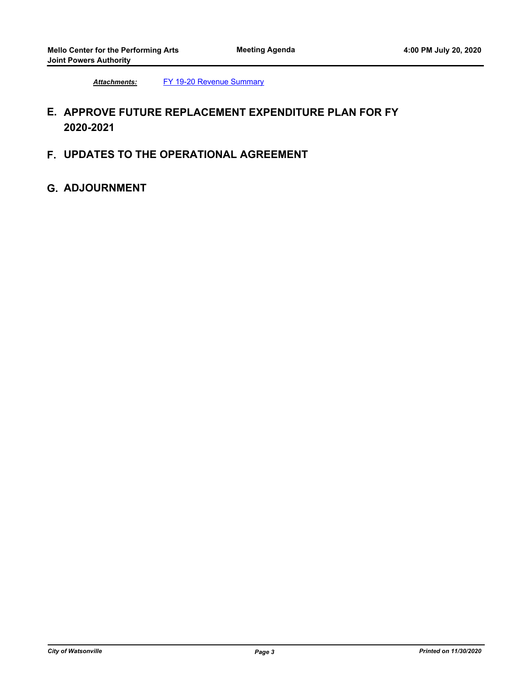*Attachments:* [FY 19-20 Revenue Summary](http://watsonville.legistar.com/gateway.aspx?M=F&ID=03022054-fe85-4035-b7c9-d8972e989f69.pdf)

# **E. APPROVE FUTURE REPLACEMENT EXPENDITURE PLAN FOR FY 2020-2021**

**F. UPDATES TO THE OPERATIONAL AGREEMENT**

### **G. ADJOURNMENT**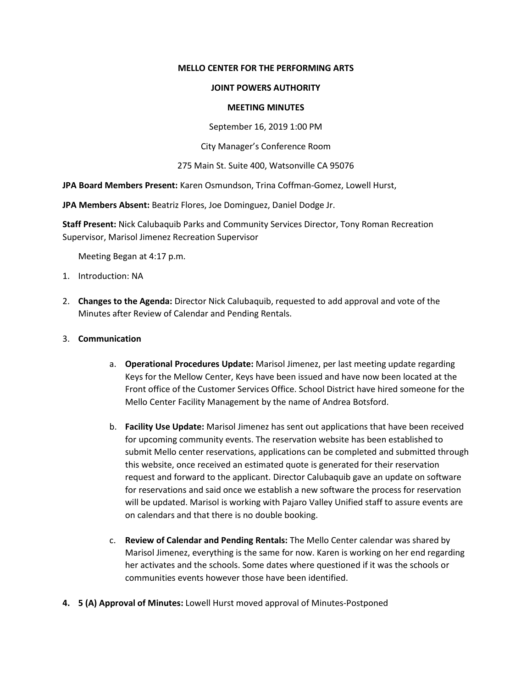#### **MELLO CENTER FOR THE PERFORMING ARTS**

#### **JOINT POWERS AUTHORITY**

#### **MEETING MINUTES**

September 16, 2019 1:00 PM

City Manager's Conference Room

#### 275 Main St. Suite 400, Watsonville CA 95076

**JPA Board Members Present:** Karen Osmundson, Trina Coffman-Gomez, Lowell Hurst,

**JPA Members Absent:** Beatriz Flores, Joe Dominguez, Daniel Dodge Jr.

**Staff Present:** Nick Calubaquib Parks and Community Services Director, Tony Roman Recreation Supervisor, Marisol Jimenez Recreation Supervisor

Meeting Began at 4:17 p.m.

- 1. Introduction: NA
- 2. **Changes to the Agenda:** Director Nick Calubaquib, requested to add approval and vote of the Minutes after Review of Calendar and Pending Rentals.
- 3. **Communication**
	- a. **Operational Procedures Update:** Marisol Jimenez, per last meeting update regarding Keys for the Mellow Center, Keys have been issued and have now been located at the Front office of the Customer Services Office. School District have hired someone for the Mello Center Facility Management by the name of Andrea Botsford.
	- b. **Facility Use Update:** Marisol Jimenez has sent out applications that have been received for upcoming community events. The reservation website has been established to submit Mello center reservations, applications can be completed and submitted through this website, once received an estimated quote is generated for their reservation request and forward to the applicant. Director Calubaquib gave an update on software for reservations and said once we establish a new software the process for reservation will be updated. Marisol is working with Pajaro Valley Unified staff to assure events are on calendars and that there is no double booking.
	- c. **Review of Calendar and Pending Rentals:** The Mello Center calendar was shared by Marisol Jimenez, everything is the same for now. Karen is working on her end regarding her activates and the schools. Some dates where questioned if it was the schools or communities events however those have been identified.
- **4. 5 (A) Approval of Minutes:** Lowell Hurst moved approval of Minutes-Postponed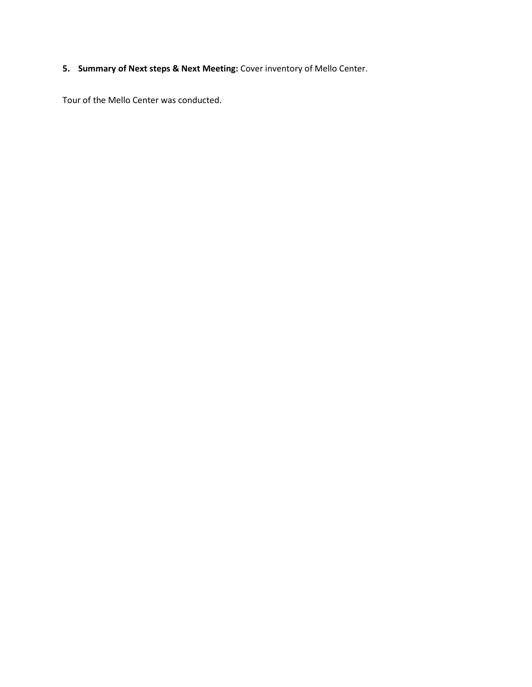# **5. Summary of Next steps & Next Meeting:** Cover inventory of Mello Center.

Tour of the Mello Center was conducted.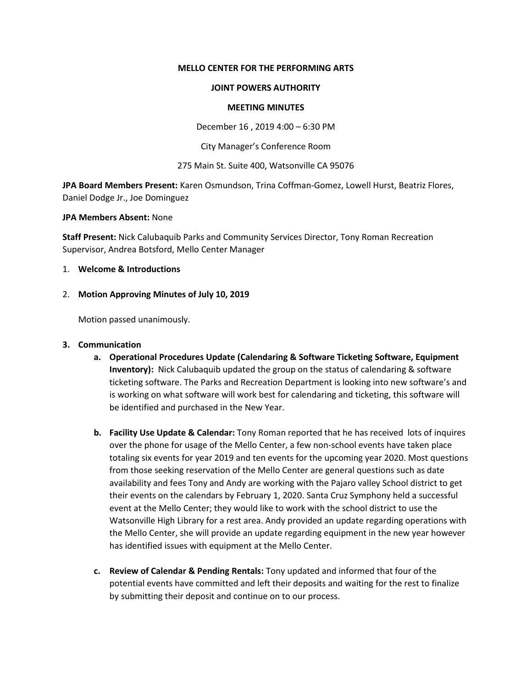#### **MELLO CENTER FOR THE PERFORMING ARTS**

#### **JOINT POWERS AUTHORITY**

#### **MEETING MINUTES**

December 16 , 2019 4:00 – 6:30 PM

City Manager's Conference Room

275 Main St. Suite 400, Watsonville CA 95076

**JPA Board Members Present:** Karen Osmundson, Trina Coffman-Gomez, Lowell Hurst, Beatriz Flores, Daniel Dodge Jr., Joe Dominguez

**JPA Members Absent:** None

**Staff Present:** Nick Calubaquib Parks and Community Services Director, Tony Roman Recreation Supervisor, Andrea Botsford, Mello Center Manager

#### 1. **Welcome & Introductions**

#### 2. **Motion Approving Minutes of July 10, 2019**

Motion passed unanimously.

#### **3. Communication**

- **a. Operational Procedures Update (Calendaring & Software Ticketing Software, Equipment Inventory):** Nick Calubaquib updated the group on the status of calendaring & software ticketing software. The Parks and Recreation Department is looking into new software's and is working on what software will work best for calendaring and ticketing, this software will be identified and purchased in the New Year.
- **b. Facility Use Update & Calendar:** Tony Roman reported that he has received lots of inquires over the phone for usage of the Mello Center, a few non-school events have taken place totaling six events for year 2019 and ten events for the upcoming year 2020. Most questions from those seeking reservation of the Mello Center are general questions such as date availability and fees Tony and Andy are working with the Pajaro valley School district to get their events on the calendars by February 1, 2020. Santa Cruz Symphony held a successful event at the Mello Center; they would like to work with the school district to use the Watsonville High Library for a rest area. Andy provided an update regarding operations with the Mello Center, she will provide an update regarding equipment in the new year however has identified issues with equipment at the Mello Center.
- **c. Review of Calendar & Pending Rentals:** Tony updated and informed that four of the potential events have committed and left their deposits and waiting for the rest to finalize by submitting their deposit and continue on to our process.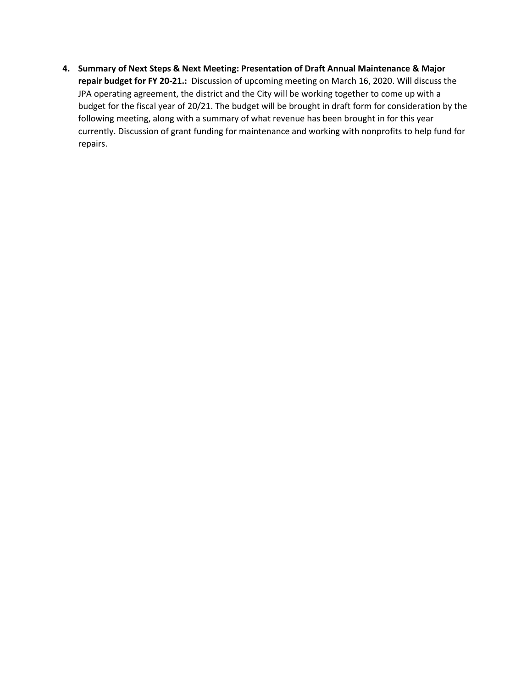**4. Summary of Next Steps & Next Meeting: Presentation of Draft Annual Maintenance & Major repair budget for FY 20-21.:** Discussion of upcoming meeting on March 16, 2020. Will discuss the JPA operating agreement, the district and the City will be working together to come up with a budget for the fiscal year of 20/21. The budget will be brought in draft form for consideration by the following meeting, along with a summary of what revenue has been brought in for this year currently. Discussion of grant funding for maintenance and working with nonprofits to help fund for repairs.